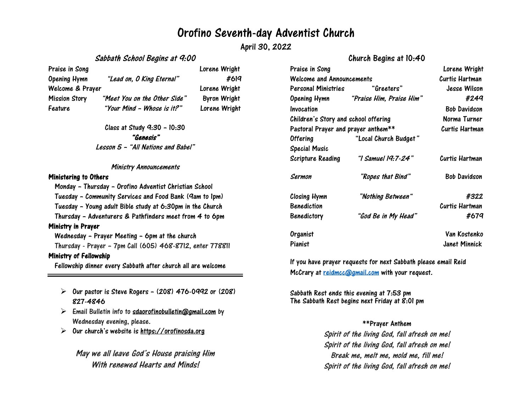## Orofino Seventh-day Adventist Church

April 30, 2022

## Sabbath School Begins at 9:00

Praise in Song **Lorent Communist Communist Communist Communist Communist Communist Communist Communist Communist Communist Communist Communist Communist Communist Communist Communist Communist Communist Communist Communist** Opening Hymn "Lead on, O King Eternal" #619 Welcome & Prayer **Lorene Wright** Mission Story "Meet You on the Other Side" Byron Wright

Feature "Your Mind – Whose is it?" Lorene Wright

Class at Study 9:30 – 10:30 "Genesis" Lesson <sup>5</sup> – "All Nations and Babel"

#### Ministry Announcements

#### Ministering to Others

Monday – Thursday – Orofino Adventist Christian School

Tuesday – Community Services and Food Bank (9am to 1pm)

Tuesday – Young adult Bible study at 6:30pm in the Church

Thursday – Adventurers & Pathfinders meet from 4 to 6pm

#### Ministry in Prayer

Wednesday – Prayer Meeting – 6pm at the church Thursday - Prayer – 7pm Call (605) 468-8712, enter 778811

## Ministry of Fellowship

Fellowship dinner every Sabbath after church all are welcome

- $\triangleright$  Our pastor is Steve Rogers (208) 476-0992 or (208) 827-4846
- $\triangleright$  Email Bulletin info to [sdaorofinobulletin@gmail.com](mailto:sdaorofinobulletin@gmail.com) by Wednesday evening, please.
- $\triangleright$ Our church's website is [https://orofinosda.org](https://orofinosda.org/)

May we all leave God's House praising Him With renewed Hearts and Minds!

## Church Begins at 10:40

|                       | Lorene Wright                                                                                                                                                               |
|-----------------------|-----------------------------------------------------------------------------------------------------------------------------------------------------------------------------|
|                       | Curtis Hartman                                                                                                                                                              |
| "Greeters"            | Jesse Wilson                                                                                                                                                                |
|                       | #249                                                                                                                                                                        |
|                       | <b>Bob Davidson</b>                                                                                                                                                         |
|                       | Norma Turner                                                                                                                                                                |
|                       | Curtis Hartman                                                                                                                                                              |
| "Local Church Budget" |                                                                                                                                                                             |
|                       |                                                                                                                                                                             |
| "I Samuel 19:7-24"    | Curtis Hartman                                                                                                                                                              |
| "Ropes that Bind"     | <b>Bob Davidson</b>                                                                                                                                                         |
| "Nothing Between"     | #322                                                                                                                                                                        |
|                       | Curtis Hartman                                                                                                                                                              |
| "God Be in My Head"   | #679                                                                                                                                                                        |
|                       | Van Kostenko                                                                                                                                                                |
|                       | Janet Minnick                                                                                                                                                               |
|                       | Welcome and Announcements<br>Personal Ministries<br>"Praise Him, Praise Him"<br>Opening Hymn<br>Children's Story and school offering<br>Pastoral Prayer and prayer anthem** |

If you have [prayer requests for n](mailto:reidmcc@gmail.com)ext Sabbath please email Reid McCrary at **reidmcc@gmail.com** with your request.

Sabbath Rest ends this evening at 7:53 pm The Sabbath Rest begins next Friday at  $\hat{\mathcal{S}}$ :01 pm

#### \*\*Prayer Anthem

Spirit of the living God, fall afresh on me! Spirit of the living God, fall afresh on me! Break me, melt me, mold me, fill me! Spirit of the living God, fall afresh on me!